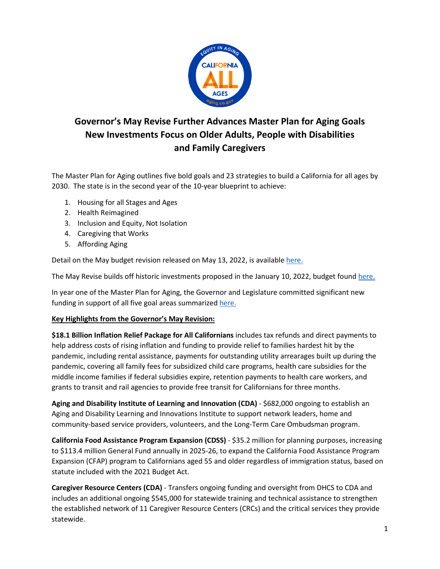

## **Governor's May Revise Further Advances Master Plan for Aging Goals New Investments Focus on Older Adults, People with Disabilities and Family Caregivers**

The Master Plan for Aging outlines five bold goals and 23 strategies to build a California for all ages by 2030. The state is in the second year of the 10-year blueprint to achieve:

- 1. Housing for all Stages and Ages
- 2. Health Reimagined
- 3. Inclusion and Equity, Not Isolation
- 4. Caregiving that Works
- 5. Affording Aging

Detail on the May budget revision released on May 13, 2022, is available [here.](https://www.ebudget.ca.gov/budget/2022-23MR/#/BudgetDetail)

The May Revise builds off historic investments proposed in the January 10, 2022, budget foun[d here.](https://www.ebudget.ca.gov/budget/2022-23MR/#/BudgetDetail)

In year one of the Master Plan for Aging, the Governor and Legislature committed significant new funding in support of all five goal areas summarize[d here.](chrome-extension://efaidnbmnnnibpcajpcglclefindmkaj/https://www.aging.ca.gov/download.ashx?lE0rcNUV0zYvPOOR%2f3K2pQ%3d%3d)

## **Key Highlights from the Governor's May Revision:**

**\$18.1 Billion Inflation Relief Package for All Californians** includes tax refunds and direct payments to help address costs of rising inflation and funding to provide relief to families hardest hit by the pandemic, including rental assistance, payments for outstanding utility arrearages built up during the pandemic, covering all family fees for subsidized child care programs, health care subsidies for the middle income families if federal subsidies expire, retention payments to health care workers, and grants to transit and rail agencies to provide free transit for Californians for three months.

**Aging and Disability Institute of Learning and Innovation (CDA)** - \$682,000 ongoing to establish an Aging and Disability Learning and Innovations Institute to support network leaders, home and community-based service providers, volunteers, and the Long-Term Care Ombudsman program.

**California Food Assistance Program Expansion (CDSS)** - \$35.2 million for planning purposes, increasing to \$113.4 million General Fund annually in 2025-26, to expand the California Food Assistance Program Expansion (CFAP) program to Californians aged 55 and older regardless of immigration status, based on statute included with the 2021 Budget Act.

**Caregiver Resource Centers (CDA)** - Transfers ongoing funding and oversight from DHCS to CDA and includes an additional ongoing \$545,000 for statewide training and technical assistance to strengthen the established network of 11 Caregiver Resource Centers (CRCs) and the critical services they provide statewide.